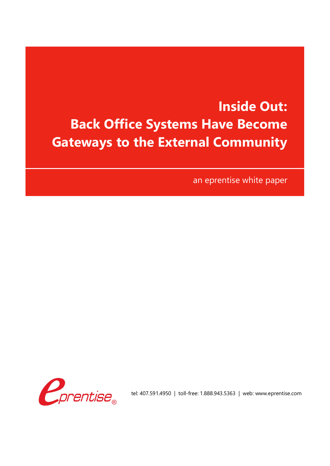## **Inside Out: Back Office Systems Have Become Gateways to the External Community**

an eprentise white paper



tel: 407.591.4950 | toll-free: 1.888.943.5363 | web: www.eprentise.com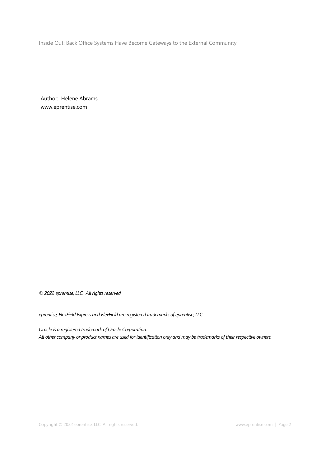Inside Out: Back Office Systems Have Become Gateways to the External Community

Author: Helene Abrams www.eprentise.com

*© 2022 eprentise, LLC. All rights reserved.*

*eprentise, FlexField Express and FlexField are registered trademarks of eprentise, LLC.*

*Oracle is a registered trademark of Oracle Corporation. All other company or product names are used for identification only and may be trademarks of their respective owners.*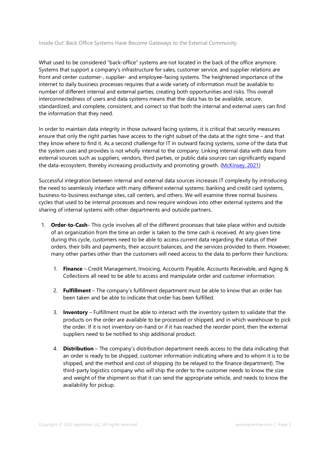## Inside Out: Back Office Systems Have Become Gateways to the External Community

What used to be considered "back-office" systems are not located in the back of the office anymore. Systems that support a company's infrastructure for sales, customer service, and supplier relations are front and center customer-, supplier- and employee-facing systems. The heightened importance of the internet to daily business processes requires that a wide variety of information must be available to number of different internal and external parties, creating both opportunities and risks. This overall interconnectedness of users and data systems means that the data has to be available, secure, standardized, and complete, consistent, and correct so that both the internal and external users can find the information that they need.

In order to maintain data integrity in those outward facing systems, it is critical that security measures ensure that only the right parties have access to the right subset of the data at the right time – and that they know where to find it. As a second challenge for IT in outward facing systems, some of the data that the system uses and provides is not wholly internal to the company. Linking internal data with data from external sources such as suppliers, vendors, third parties, or public data sources can significantly expand the data-ecosystem, thereby increasing productivity and promoting growth. (McKinsey, 2021)

Successful integration between internal and external data sources increases IT complexity by introducing the need to seamlessly interface with many different external systems: banking and credit card systems, business-to-business exchange sites, call centers, and others. We will examine three normal business cycles that used to be internal processes and now require windows into other external systems and the sharing of internal systems with other departments and outside partners.

- 1. **Order-to-Cash** This cycle involves all of the different processes that take place within and outside of an organization from the time an order is taken to the time cash is received. At any given time during this cycle, customers need to be able to access current data regarding the status of their orders, their bills and payments, their account balances, and the services provided to them. However, many other parties other than the customers will need access to the data to perform their functions:
	- 1. **Finance** Credit Management, Invoicing, Accounts Payable, Accounts Receivable, and Aging & Collections all need to be able to access and manipulate order and customer information.
	- 2. **Fulfillment** The company's fulfillment department must be able to know that an order has been taken and be able to indicate that order has been fulfilled.
	- 3. **Inventory** Fulfillment must be able to interact with the inventory system to validate that the products on the order are available to be processed or shipped, and in which warehouse to pick the order. If it is not inventory-on-hand or if it has reached the reorder point, then the external suppliers need to be notified to ship additional product.
	- 4. **Distribution** The company's distribution department needs access to the data indicating that an order is ready to be shipped, customer information indicating where and to whom it is to be shipped, and the method and cost of shipping (to be relayed to the finance department). The third-party logistics company who will ship the order to the customer needs to know the size and weight of the shipment so that it can send the appropriate vehicle, and needs to know the availability for pickup.